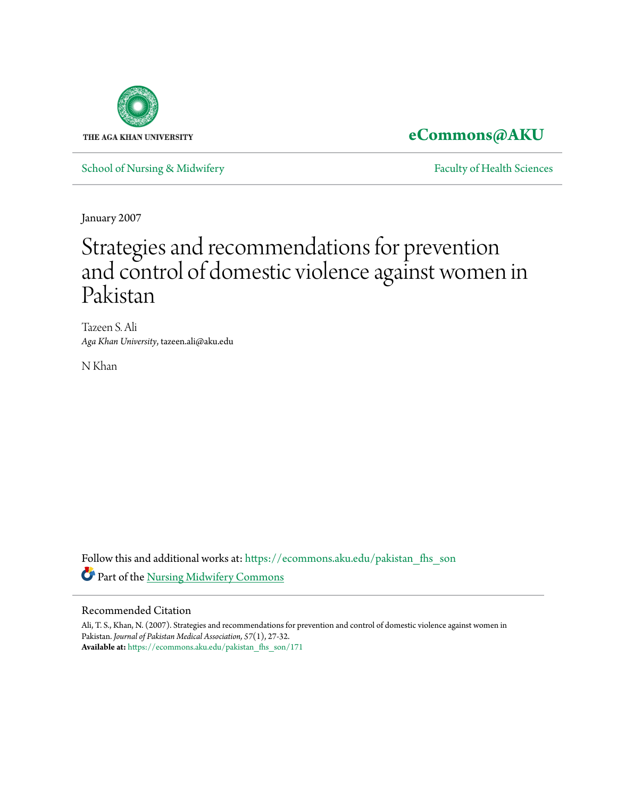

**[eCommons@AKU](https://ecommons.aku.edu?utm_source=ecommons.aku.edu%2Fpakistan_fhs_son%2F171&utm_medium=PDF&utm_campaign=PDFCoverPages)**

[School of Nursing & Midwifery](https://ecommons.aku.edu/pakistan_fhs_son?utm_source=ecommons.aku.edu%2Fpakistan_fhs_son%2F171&utm_medium=PDF&utm_campaign=PDFCoverPages) **[Faculty of Health Sciences](https://ecommons.aku.edu/pakistan_fhs?utm_source=ecommons.aku.edu%2Fpakistan_fhs_son%2F171&utm_medium=PDF&utm_campaign=PDFCoverPages)** Faculty of Health Sciences

January 2007

# Strategies and recommendations for prevention and control of domestic violence against women in Pakistan

Tazeen S. Ali *Aga Khan University*, tazeen.ali@aku.edu

N Khan

Follow this and additional works at: [https://ecommons.aku.edu/pakistan\\_fhs\\_son](https://ecommons.aku.edu/pakistan_fhs_son?utm_source=ecommons.aku.edu%2Fpakistan_fhs_son%2F171&utm_medium=PDF&utm_campaign=PDFCoverPages) Part of the [Nursing Midwifery Commons](http://network.bepress.com/hgg/discipline/722?utm_source=ecommons.aku.edu%2Fpakistan_fhs_son%2F171&utm_medium=PDF&utm_campaign=PDFCoverPages)

#### Recommended Citation

Ali, T. S., Khan, N. (2007). Strategies and recommendations for prevention and control of domestic violence against women in Pakistan. *Journal of Pakistan Medical Association, 57*(1), 27-32. **Available at:** [https://ecommons.aku.edu/pakistan\\_fhs\\_son/171](https://ecommons.aku.edu/pakistan_fhs_son/171)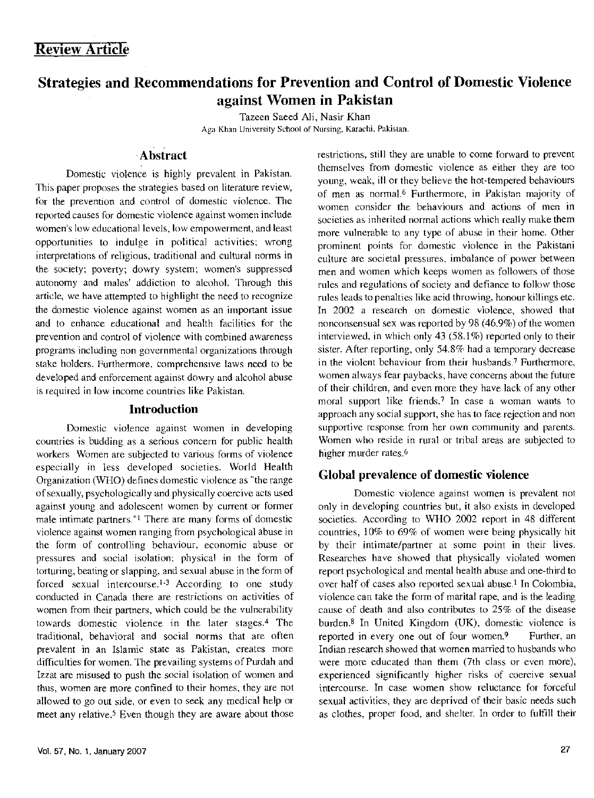## Strategies and Recommendations for Prevention and Control of Domestic Violence against Women in Pakistan

Tazeen Saeed Ali, Nasir Khan Aga Khan University School of Nursing, Karachi, Pakistan\_

## Abstract

Domestic violence is highly prevalent in Pakistan. This paper proposes the strategies based on literature review, for the prevention and control of domestic violence. The reported causes for domestic violence against women include women's low educational levels, low empowerment, and least opportunities to indulge in political activities; wrong interpretations of religious, traditional and cultural norms in the society; poverty; dowry system; women's suppressed autonomy and males' addiction to alcohol. Through this article, we have attempted to highlight the need to recognize the domestic violence against women as an important issue and to enhance educational and health facilities for the prevention and control of violence with combined awareness programs including non governmental organizations through stake holders. Furthermore, comprehensive laws need to be developed and enforcement against dowry and alcohol abuse is required in low income countries like Pakistan.

#### Introduction

Domestic violence against women in developing countries is budding as a serious concern for public health workers Women are subjected to various forms of violence especially in less developed societies. World Health Organization (WHO) defines domestic violence as "the range of sexually, psychologically and physically coercive acts used against young and adolescent women by current or former male intimate partners."<sup>1</sup> There are many forms of domestic violence against women ranging from psychological abuse in the form of controlling behaviour, economic abuse or pressures and social isolation; physical in the form of torturing, beating or slapping, and sexual abuse in the form of forced sexual intercourse.<sup>1-3</sup> According to one study conducted in Canada there are restrictions on activities of women from their partners, which could be the vulnerability towards domestic violence in the later stages.4 The traditional, behavioral and social norms that are often prevalent in an Islamic state as Pakistan, creates more difficulties for women. The prevailing systems of Purdah and Izzat are misused to push the social isolation of women and thus, women are more confined to their homes, they are not allowed to go out side. or even to seek any medical help or meet any relative.<sup>5</sup> Even though they are aware about those restrictions, still they are unable to come forward to prevent themselves from domestic violence as either they are too young, weak, ill or they believe the hot-tempered behaviours of men as nonnaJ.G Furthermore, in Pakistan majority of women consider the behaviours and actions of men in societies as inherited normal actions which really make them more vulnerable to any type of abuse in their home. Other prominent points for domestic violence in the Pakistani culture are societal pressures. imbalance of power between men and women which keeps women as followers of those rules and regulations of society and defiance to follow those rules leads to penalties like acid throwing, honour killings etc. In 2002 a research on domestic violence, showed that nonconsensual sex was reported by 98 (46.9%) of the women interviewed, in which only 43 (58.1%) reported only to their sister. After reporting, only 54.8% had a temporary decrease in the violent behaviour from their husbands.7 Furthermore, women always fear paybacks, have concerns about the future of their children, and even more they have lack of any other moral support like friends.7 In case a woman wants to approach any social support, she has to face rejection and non supportive response from her own community and parents. Women who reside in rural or tribal areas are subjected to higher murder rates.<sup>6</sup>

#### Global prevalence of domestic violence

Domestic violence against women is prevalent not only in developing countries but, it also exists in developed societies. According to WHO 2002 report in 48 different countries, 10% to 69% of women were being physically hit by their intimate/partner at some point in their lives. Researches have showed that physically violated women report psychological and mental health abuse and one-third to over half of cases also reported sexual abuse.<sup>1</sup> In Colombia, violence can take the form of marital rape, and is the leading cause of death and also contributes to 25% of the disease burden.<sup>8</sup> In United Kingdom (UK), domestic violence is reported in every one out of four women.9 Further, an Indian research showed that women married to husbands who were more educated than them (7th class or even more), experienced significantly higher risks of coercive sexual intercourse. In case women show reluctance for forceful sexual activities, they are deprived of their basic needs such as clothes. proper food. and shelter. In order to fulfill their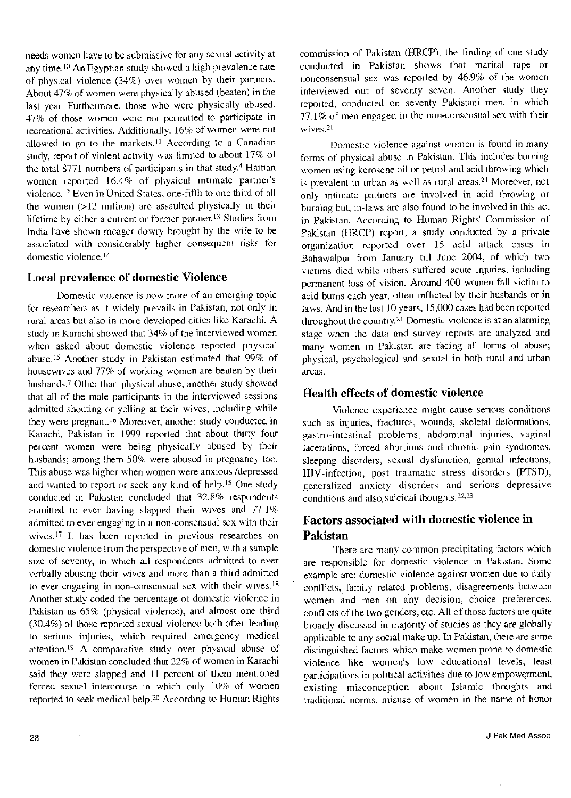needs women have to be submissive for any sexual activity at any time.<sup>10</sup> An Egyptian study showed a high prevalence rate of physical violence (34%) over women by their partners. About 47% of women were physically abused (beaten) in the last year. Furthermore, those who were physically abused, 47% of those women were not permitted to participate in recreational activities. Additionally, 16% of women were not allowed to go to the markets.<sup>11</sup> According to a Canadian study, report of violent activity was limited to about  $17\%$  of the total  $8771$  numbers of participants in that study.<sup>4</sup> Haitian women reported 16.4% of physical intimate partner's violence. 12 Even in United States, one-fifth to one third of all the women (>12 million) are assaulted physically in their lifetime by either a current or former partner.<sup>13</sup> Studies from India have shown meager dowry brought by the wife to be associated with considerably higher consequent risks for domestic violence.<sup>14</sup>

#### Local prevalence of domestic Violence

Domestic violence is now more of an emerging topic for researchers as it widely prevails in Pakistan, not only in rural areas but also in more developed cities like Karachi. A study in Karachi showed that 34% of the interviewed women when asked about domestic violence reported physical abuse.<sup>15</sup> Another study in Pakistan estimated that 99% of housewives and 77% of working women are beaten by their husbands.<sup>7</sup> Other than physical abuse, another study showed that all of the male participants in the interviewed sessions admitted shouting or yelling at their wives, including while they were pregnant.16 Moreover, another study conducted in Karachi, Pakistan in 1999 reported that about thirty four percent women were being physically abused by their husbands; among them 50% were abused in pregnancy too. This abuse was higher when women were anxious /depressed and wanted to report or seek any kind of help.<sup>15</sup> One study conducted in Pakistan concluded that 32.8% respondents admitted to ever having slapped their wives and 77.1% admitted to ever engaging in a non-consensual sex with their wives.<sup>17</sup> It has been reported in previous researches on domestic violence from the perspective of men, with a sample size of seventy, in which all respondents admitted to ever verbally abusing their wives and more than a third admitted to ever engaging in non-consensual sex with their wives.<sup>18</sup> Another study coded the percentage of domestic violence in Pakistan as 65% (physical violence), and almost one third (30.4%) of those reported sexual violence both often leading to serious injuries, which required emergency medical attention.<sup>19</sup> A comparative study over physical abuse of women in Pakistan concluded that 22% of women in Karachi said they were slapped and II percent of them mentioned forced sexual intercourse in which only 10% of women reported to seek medical help.20 According to Human Rights

commission of Pakistan (HRCP), the finding of one study conducted in Pakistan shows that marital rape or nonconsensual sex was reported by 46.9% of the women interviewed out of seventy seven. Another study they reported, conducted on seventy Pakistani men, in which 77.1% of men engaged in the non-consensual sex with their wives.<sup>21</sup>

Domestic violence against women is found in many forms of physical abuse in Pakistan. This includes burning women using kerosene oil or petrol and acid throwing which is prevalent in urban as well as rural areas.<sup>21</sup> Moreover, not only intimate patiners are involved in acid throwing or burning but, in-laws are also found to be involved in this act in Pakistan. According to Human Rights' Commission of Pakistan (HRCP) report, a study conducted by a private organization reported over 15 acid attack cases in Bahawalpur from January till June 2004, of which two victims died while others suffered acute injuries, including permanent loss of vision. Around 400 women fall victim to acid burns each year, often inflicted by their husbands or in laws. And in the last 10 years, 15,000 cases had been reported throughout the country. 21 Domestic violence is at an alarming stage when the data and survey reports are analyzed and many women in Pakistan are facing all forms of abuse; physical, psychological and sexual in both rural and urban areas.

## Health effects of domestic violence

Violence experience might cause serious conditions such as injuries, fractures, wounds, skeletal deformations, gastro-intestinal problems, abdominal injuries, vaginal lacerations, forced abortions and chronic pain syndromes, sleeping disorders, sexual dysfunction, genital infections, HIV-infection, post traumatic stress disorders (PTSD), generalized anxiety disorders and serious depressive conditions and also. suicidal thoughts. 22, 23

## Factors associated with domestic violence in Pakistan

There are many common precipitating factors which are responsible for domestic violence in Pakistan. Some example are: domestic violence against women due to daily conflicts, family related problems, disagreements between women and men on any decision, choice preferences, conflicts of the two genders, etc. All of those factors are quite broadly discussed in majority of studies as they are globally applicable to any social make up. In Pakistan, there are some distinguished factors which make women prone to domestic violence like women's low educational levels, least participations in political activities due to low empowerment, existing misconception about Islamic thoughts and traditional norms, misuse of women in the name of honor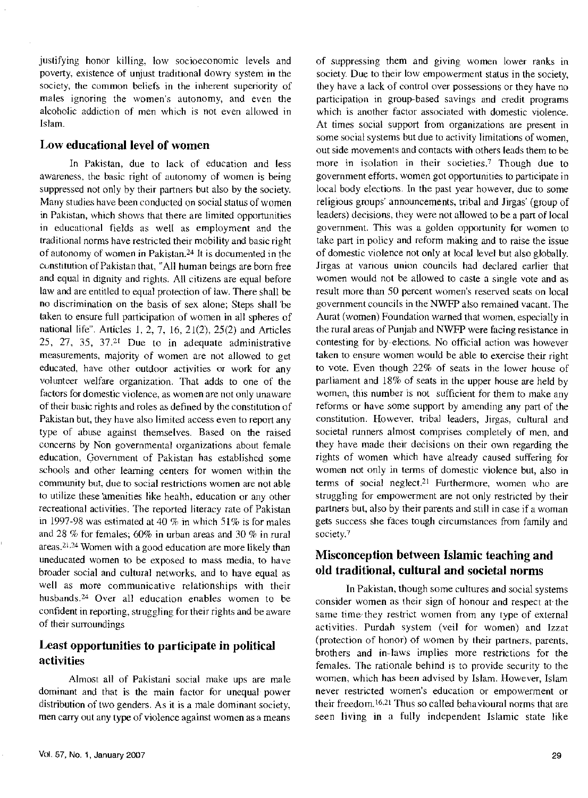justifying honor killing, low socioeconomic levels and poverty, existence of unjust traditional dowry system in the society, the common beliefs in the inherent superiority of males ignoring the women's autonomy, and even the alcoholic addiction of men which is not even allowed in Islam.

#### Low educational level of women

In Pakistan, due to lack of education and less awareness, the basic right of autonomy of women is being suppressed not only by their partners but also by the society. Many studies have been conducted on social status of women in Pakistan, which shows that there are limited opportunities in educational fields as well as employment and the traditional norms have restricted their mobility and basic right of autonomy of women in Pakistan.24 It is documented in the constitution of Pakistan that, "All human beings are born free and equal in dignity and rights. All citizens are equal before law and are entitled to equal protection of law. There shall be no discrimination on the basis of sex alone; Steps shall 'be taken to ensure full participation of women in all spheres of national life". Articles I, 2, 7, 16, 21(2), 25(2) and Articles 25, 27, 35, 37.21 Due to in adequate administrative measurements, majority of women are not allowed to get educated, have other outdoor activities or work for any volunteer welfare organization. That adds to one of the factors for domestic violence, as women are not only unaware of their basic rights and roles as defined by the constitution of Pakistan but, they have also limited access even to report any type of abuse against themselves. Based on the raised concerns by Non governmental organizations about female education, Government of Pakistan has established some schools and other learning centers for women within the community but, due to social restrictions women are not able to utilize these amenities like health, education or any other recreational activities. The reported literacy rate of Pakistan in 1997-98 was estimated at 40% in which 51% is for males and 28 % for females; 60% in urban areas and 30% in rural areas.2l.24 Women with a good education are more likely than uneducated women to be exposed to mass media, to have broader social and cultural networks, and to have equal as well as more communicative relationships with their husbands.24 Over all education enables women to be confident in reporting, struggling for their rights and be aware of their surroundings

## Least opportunities to participate in political activities

Almost all of Pakistani social make ups are male dominant and that is the main factor for unequal power distribution of two genders. As it is a male dominant society, men carry out any type of violence against women as a means

of suppressing them and giving women lower ranks in society. Due to their low empowerment status in the society. they have a lack of control over possessions or they have no participation in group-based savings and credit programs which is another factor associated with domestic violence. At times social support from organizations are present in some social systems but due to activity limitations of women, out side movements and contacts with others leads them to be more in isolation in their societies.7 Though due to government efforts, women got opportunities to participate in local body elections. In the past year however, due to some religious groups' announcements, tribal and Jirgas' (group of leaders) decisions, they were not allowed to be a part of local government. This was a golden opportunity for women to take part in policy and reform making and to raise the issue of domestic violence not only at local level but also globally. Jirgas at various union councils had declared earlier that women would not be allowed to caste a single vote and as result more than 50 percent women's reserved seats on local government councils in the NWFP also remained vacant. The Aurat (women) Foundation warned that women, especially in the rural areas of Punjab and NWFP were facing resistance in contesting for by-elections. No official action was however taken to ensure women would be able to exercise their right to vote. Even though 22% of seats in the lower house of parliament and 18% of seats in the upper house are held by women, this number is not sufficient for them to make any reforms or have some support by amending any part of the constitution. However, tribal leaders, Jirgas, cultural and societal runners almost comprises completely of men, and they have made their decisions on their own regarding the rights of women which have already caused suffering for women not only in terms of domestic violence but, also in terms of social neglect.2I Furthermore, women who are struggling for empowerment are not only restricted by their partners but, also by their parents and still in case if a woman gets success she faces tough circumstances from family and society.<sup>7</sup>

## Misconception between Islamic teaching and old traditional, cultural and societal norms

In Pakistan, though some cultures and social systems consider women as their sign of honour and respect at- the same time· they restrict women from any type of external activities. Purdah system (veil for women) and Izzat (protection of honor) of women by their partners, parents, brothers and in-laws implies more restrictions for the females. The rationale behind is to provide security to the women, which has been advised by Islam. However, Islam never restricted women's education or empowerment or their freedom.<sup>16,21</sup> Thus so called behavioural norms that are seen living in a fully independent Islamic state like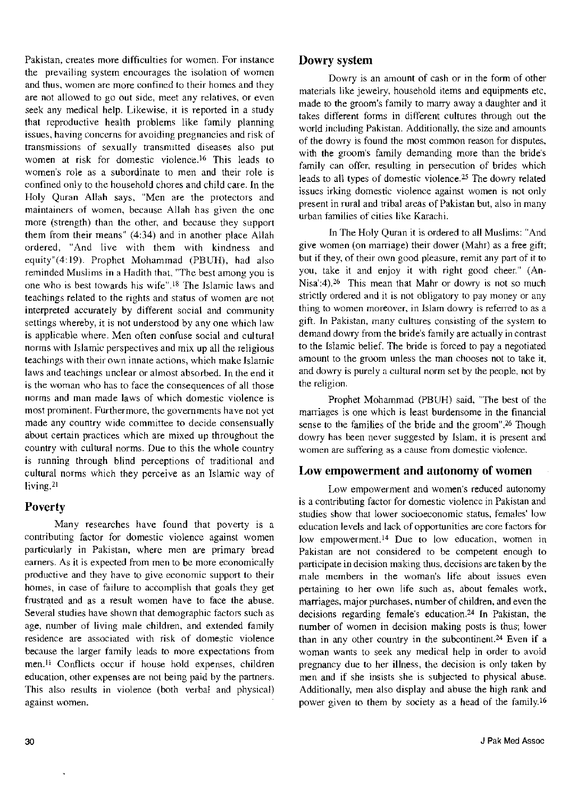Pakistan, creates more difficulties for women. For instance the prevailing system encourages the isolation of women and thus, women are more confined to their homes and they are not allowed to go out side, meet any relatives, or even seek any medical help. Likewise, it is reported in a study that reproductive health problems like family planning issues, having concerns for avoiding pregnancies and risk of transmissions of sexually transmitted diseases also put women at risk for domestic violence.<sup>16</sup> This leads to women's role as a subordinate to men and their role is confined only to the household chores and child care. In the Holy Quran Allah says, "Men are the protectors and maintainers of women, because Allah has given the one more (strength) than the other, and because they support them from their means" (4:34) and in another place Allah ordered, "And live with them with kindness and equity"(4:19). Prophet Mohammad (PBUH), had also reminded Muslims in a Hadith that, "The best among you is one who is best towards his wife".l8 The Islamic laws and teachings related to the rights and status of women are not interpreted accurately by different social and community settings whereby, it is not understood by any one which law is applicable where. Men often confuse social and cultural norms with Islamic perspectives and mix up all the religious teachings with their own innate actions, which make Islamic laws and teachings unclear or almost absorbed. In the end it is the woman who has to face the consequences of all those norms and man made laws of which domestic violence is most prominent. Furthermore, the governments have not yet made any country wide committee to decide consensually about certain practices which are mixed up throughout the country with cultural norms. Due to this the whole country is running through blind perceptions of traditional and cultural norms which they perceive as an Islamic way of living.21

## **Poverty**

Many researches have found that poverty is a contributing factor for domestic violence against women particularly in Pakistan, where men are primary bread earners. As it is expected from men to be more economically productive and they have to give economic support to their homes, in case of failure to accomplish that goals they get frustrated and as a result women have to face the abuse. Several studies have shown that demographic factors such as age, number of living male children, and extended family residence are associated with risk of domestic violence because the larger family leads to more expectations from men.<sup>11</sup> Conflicts occur if house hold expenses, children education, other expenses are not being paid by the partners. This also results in violence (both verbal and physical) against women.

#### Dowry system

Dowry is an amount of cash or in the form of other materials like jewelry, household items and equipments etc, made to the groom's family to marry away a daughter and it takes different forms in different cultures through out the world including Pakistan. Additionally, the size and amounts of the dowry is found the most common reason for disputes, with the groom's family demanding more than the bride's family can offer, resulting in persecution of brides which leads to all types of domestic violence. 25 The dowry related issues irking domestic violence against women is not only present in rural and tribal areas of Pakistan but, also in many urban families of cities like Karachi.

In The Holy Quran it is ordered to all Muslims: "And give women (on marriage) their dower (Mahr) as a free gift; but if they, of their own good pleasure, remit any part of it to you, take it and enjoy it with right good cheer." (An-Nisa':4).26 This mean that Mahr or dowry is not so much strictly ordered and it is not obligatory to pay money or any thing to women moreover, in Islam dowry is referred to as a gift. In Pakistan, many cultures consisting of the system to demand dowry from the bride's family are actually in contrast to the Islamic belief. The bride is forced to pay a negotiated amount to the groom unless the man chooses not to take it, and dowry is purely a cultural norm set by the people, not by the religion.

Prophet Mohammad (PBUH) said, "The best of the marriages is one which is least burdensome in the financial sense to the families of the bride and the groom".26 Though dowry has been never suggested by Islam, it is present and women are suffering as a cause from domestic violence.

#### Low empowerment and autonomy of women

Low empowerment and women's reduced autonomy is a contributing factor for domestic violence in Pakistan and studies show that lower socioeconomic status, females' low education levels and lack of opportunities are core factors for low empowerment.<sup>14</sup> Due to low education, women in Pakistan are not considered to be competent enough to participate in decision making thus, decisions are taken by the male members in the woman's life about issues even pertaining to her own life such as, about females work, marriages, major purchases, number of children, and even the decisions regarding female's education.24 In Pakistan, the number of women in decision making posts is thus; lower than in any other country in the subcontinent.24 Even if a woman wants to seek any medical help in order to avoid pregnancy due to her illness, the decision is only taken by men and if she insists she is subjected to physical abuse. Additionally, men also display and abuse the high rank and power given to them by society as a head of the family.<sup>16</sup>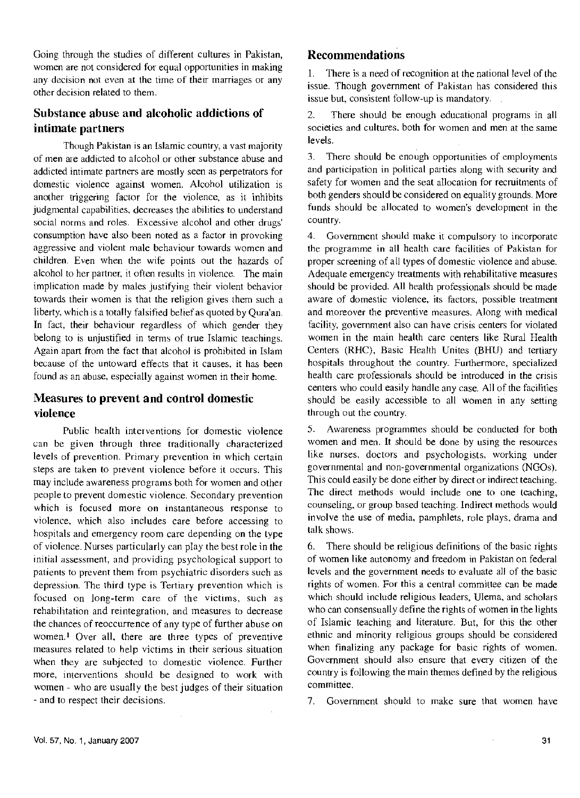Going through the studies of different cultures in Pakistan, women are not considered for equal opportunities in making any decision not even at the time of their marriages or any other decision related to them.

## Substance abuse and alcoholic addictions of intimate partners

Though Pakistan is an Islamic country, a vast majority of men are addicted to alcohol or other substance abuse and addicted intimate partners are mostly seen as perpetrators for domestic violence against women. Alcohol utilization is another triggering factor for the violence, as it inhibits judgmental capabilities, decreases the abilities to understand social norms and roles. Excessive alcohol and other drugs' consumption have also been noted as a factor in provoking aggressive and violent male behaviour towards women and children. Even when fhe wife points out the hazards of alcohol to her partner, it often results in violence. The main implication made by males justifying their violent behavior towards their women is that the religion gives them such a liberty, which is a totally falsified belief as quoted by Qura'an. In fact, their behaviour regardless of which gender they belong to is unjustified in terms of true Islamic teachings. Again apart from the fact that alcohol is prohibited in Islam because of the untoward effects that it causes, it has been found as an abuse, especially against women in their home.

## Measures to prevent and control domestic violence

Public health interventions for domestic violence can be given through three traditionally characterized levels of prevention. Primary prevention in which certain steps are taken to prevent violence before it occurs. This may include awareness programs both for women and other people to prevent domestic violence. Secondary prevention which is focused more on instantaneous response to violence, which also includes care before accessing to hospitals and emergency room care depending on the type of violence. Nurses particularly can play the best role in the initial assessment, and providing psychological support to patients to prevent them from psychiatric disorders such as depression. The third type is Tertiary prevention which is focused on long-term care of the victims, such as rehabilitation and reintegration, and measures to decrease the chances of reoccurrence of any type of further abuse on women.<sup>1</sup> Over all, there are three types of preventive measures related to help victims in their serious situation when they are subjected to domestic violence. Further more, interventions should be designed to work with women- who are usually the best judges of their situation - and to respect their decisions.

## **Recommendations**

1. There is a need of recognition at the national level of the issue. Though government of Pakistan has considered this issue but, consistent follow-up is mandatory.

2. There should be enough educational programs in all societies and cultures, both for women and men at the same levels.

3. There should be enough opportunities of employments and participation in political parties along with security and safety for women and the seat allocation for recruitments of both genders should be considered on equality grounds. More funds should be allocated to women's development in the country.

4. Government should make it compulsory to incorporate the programme in all health care facilities of Pakistan for proper screening of all types of domestic violence and abuse. Adequate emergency treatments with rehabilitative measures should be provided. All health professionals should be made aware of domestic violence, its factors, possible treatment and moreover the preventive measures. Along with medical facility, government also can have crisis centers for violated women in the main health care centers like Rural Health Centers (RHC), Basic Health Unites (BHU) and tertiary hospitals throughout the country. Furthermore, specialized health care professionals should be introduced in the crisis centers who could easily handle any case. All of the facilities should be easily accessible to all women in any setting through out the country.

5. Awareness programmes should be conducted for both women and men. It should be done by using the resources like nurses, doctors and psychologists, working under governmental and non-governmental organizations (NGOs). This could easily be done eifher by direct or indirect teaching. The direct methods would include one to one teaching, counseling, or group based teaching. Indirect methods would involve the use of media, pamphlets, role plays, drama and talk shows.

6. There should be religious definitions of the basic rights of women like autonomy and freedom in Pakistan on federal levels and the government needs to evaluate all of the basic rights of women. For this a central committee can be made which should include religious leaders, Ulema, and scholars who can consensually define the rights of women in the lights of Islamic teaching and literature. But, for this the ofher ethnic and minority religious groups should be considered when finalizing any package for basic rights of women. Government should also ensure that every citizen of the country is following fhe main themes defined by the religious committee.

7. Government should to make sure that women have